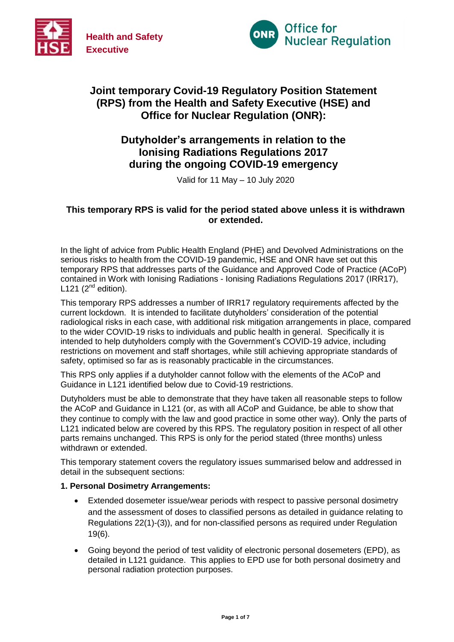



# **Joint temporary Covid-19 Regulatory Position Statement (RPS) from the Health and Safety Executive (HSE) and Office for Nuclear Regulation (ONR):**

# **Dutyholder's arrangements in relation to the Ionising Radiations Regulations 2017 during the ongoing COVID-19 emergency**

Valid for 11 May – 10 July 2020

# **This temporary RPS is valid for the period stated above unless it is withdrawn or extended.**

In the light of advice from Public Health England (PHE) and Devolved Administrations on the serious risks to health from the COVID-19 pandemic, HSE and ONR have set out this temporary RPS that addresses parts of the Guidance and Approved Code of Practice (ACoP) contained in Work with Ionising Radiations - Ionising Radiations Regulations 2017 (IRR17), L121  $(2^{nd}$  edition).

This temporary RPS addresses a number of IRR17 regulatory requirements affected by the current lockdown. It is intended to facilitate dutyholders' consideration of the potential radiological risks in each case, with additional risk mitigation arrangements in place, compared to the wider COVID-19 risks to individuals and public health in general. Specifically it is intended to help dutyholders comply with the Government's COVID-19 advice, including restrictions on movement and staff shortages, while still achieving appropriate standards of safety, optimised so far as is reasonably practicable in the circumstances.

This RPS only applies if a dutyholder cannot follow with the elements of the ACoP and Guidance in L121 identified below due to Covid-19 restrictions.

Dutyholders must be able to demonstrate that they have taken all reasonable steps to follow the ACoP and Guidance in L121 (or, as with all ACoP and Guidance, be able to show that they continue to comply with the law and good practice in some other way). Only the parts of L121 indicated below are covered by this RPS. The regulatory position in respect of all other parts remains unchanged. This RPS is only for the period stated (three months) unless withdrawn or extended.

This temporary statement covers the regulatory issues summarised below and addressed in detail in the subsequent sections:

#### **1. Personal Dosimetry Arrangements:**

- Extended dosemeter issue/wear periods with respect to passive personal dosimetry and the assessment of doses to classified persons as detailed in guidance relating to Regulations 22(1)-(3)), and for non-classified persons as required under Regulation 19(6).
- Going beyond the period of test validity of electronic personal dosemeters (EPD), as detailed in L121 guidance. This applies to EPD use for both personal dosimetry and personal radiation protection purposes.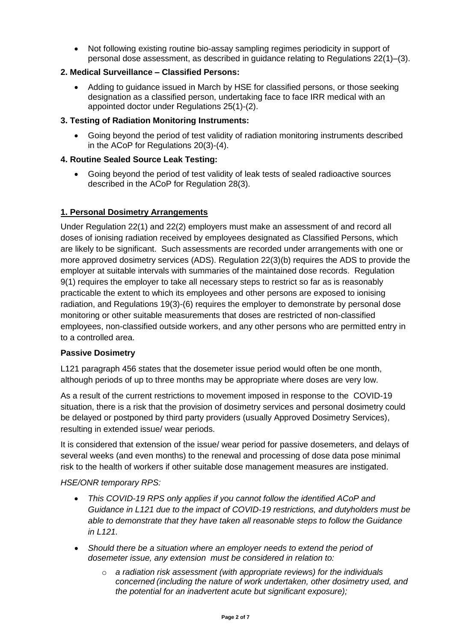Not following existing routine bio-assay sampling regimes periodicity in support of personal dose assessment, as described in guidance relating to Regulations 22(1)–(3).

# **2. Medical Surveillance – Classified Persons:**

 Adding to guidance issued in March by HSE for classified persons, or those seeking designation as a classified person, undertaking face to face IRR medical with an appointed doctor under Regulations 25(1)-(2).

## **3. Testing of Radiation Monitoring Instruments:**

 Going beyond the period of test validity of radiation monitoring instruments described in the ACoP for Regulations 20(3)-(4).

### **4. Routine Sealed Source Leak Testing:**

 Going beyond the period of test validity of leak tests of sealed radioactive sources described in the ACoP for Regulation 28(3).

# **1. Personal Dosimetry Arrangements**

Under Regulation 22(1) and 22(2) employers must make an assessment of and record all doses of ionising radiation received by employees designated as Classified Persons, which are likely to be significant. Such assessments are recorded under arrangements with one or more approved dosimetry services (ADS). Regulation 22(3)(b) requires the ADS to provide the employer at suitable intervals with summaries of the maintained dose records. Regulation 9(1) requires the employer to take all necessary steps to restrict so far as is reasonably practicable the extent to which its employees and other persons are exposed to ionising radiation, and Regulations 19(3)-(6) requires the employer to demonstrate by personal dose monitoring or other suitable measurements that doses are restricted of non-classified employees, non-classified outside workers, and any other persons who are permitted entry in to a controlled area.

#### **Passive Dosimetry**

L121 paragraph 456 states that the dosemeter issue period would often be one month, although periods of up to three months may be appropriate where doses are very low.

As a result of the current restrictions to movement imposed in response to the COVID-19 situation, there is a risk that the provision of dosimetry services and personal dosimetry could be delayed or postponed by third party providers (usually Approved Dosimetry Services), resulting in extended issue/ wear periods.

It is considered that extension of the issue/ wear period for passive dosemeters, and delays of several weeks (and even months) to the renewal and processing of dose data pose minimal risk to the health of workers if other suitable dose management measures are instigated.

#### *HSE/ONR temporary RPS:*

- *This COVID-19 RPS only applies if you cannot follow the identified ACoP and Guidance in L121 due to the impact of COVID-19 restrictions, and dutyholders must be able to demonstrate that they have taken all reasonable steps to follow the Guidance in L121.*
- *Should there be a situation where an employer needs to extend the period of dosemeter issue, any extension must be considered in relation to:*
	- o *a radiation risk assessment (with appropriate reviews) for the individuals concerned (including the nature of work undertaken, other dosimetry used, and the potential for an inadvertent acute but significant exposure);*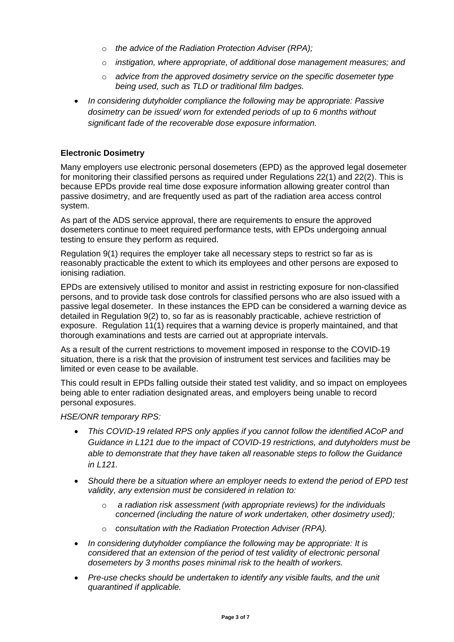- o *the advice of the Radiation Protection Adviser (RPA);*
- o *instigation, where appropriate, of additional dose management measures; and*
- o *advice from the approved dosimetry service on the specific dosemeter type being used, such as TLD or traditional film badges.*
- *In considering dutyholder compliance the following may be appropriate: Passive dosimetry can be issued/ worn for extended periods of up to 6 months without significant fade of the recoverable dose exposure information.*

# **Electronic Dosimetry**

Many employers use electronic personal dosemeters (EPD) as the approved legal dosemeter for monitoring their classified persons as required under Regulations 22(1) and 22(2). This is because EPDs provide real time dose exposure information allowing greater control than passive dosimetry, and are frequently used as part of the radiation area access control system.

As part of the ADS service approval, there are requirements to ensure the approved dosemeters continue to meet required performance tests, with EPDs undergoing annual testing to ensure they perform as required.

Regulation 9(1) requires the employer take all necessary steps to restrict so far as is reasonably practicable the extent to which its employees and other persons are exposed to ionising radiation.

EPDs are extensively utilised to monitor and assist in restricting exposure for non-classified persons, and to provide task dose controls for classified persons who are also issued with a passive legal dosemeter. In these instances the EPD can be considered a warning device as detailed in Regulation 9(2) to, so far as is reasonably practicable, achieve restriction of exposure. Regulation 11(1) requires that a warning device is properly maintained, and that thorough examinations and tests are carried out at appropriate intervals.

As a result of the current restrictions to movement imposed in response to the COVID-19 situation, there is a risk that the provision of instrument test services and facilities may be limited or even cease to be available.

This could result in EPDs falling outside their stated test validity, and so impact on employees being able to enter radiation designated areas, and employers being unable to record personal exposures.

#### *HSE/ONR temporary RPS:*

- *This COVID-19 related RPS only applies if you cannot follow the identified ACoP and Guidance in L121 due to the impact of COVID-19 restrictions, and dutyholders must be able to demonstrate that they have taken all reasonable steps to follow the Guidance in L121.*
- *Should there be a situation where an employer needs to extend the period of EPD test validity, any extension must be considered in relation to:*
	- o *a radiation risk assessment (with appropriate reviews) for the individuals concerned (including the nature of work undertaken, other dosimetry used);*
	- o *consultation with the Radiation Protection Adviser (RPA).*
- *In considering dutyholder compliance the following may be appropriate: It is considered that an extension of the period of test validity of electronic personal dosemeters by 3 months poses minimal risk to the health of workers.*
- Pre-use checks should be undertaken to identify any visible faults, and the unit *quarantined if applicable.*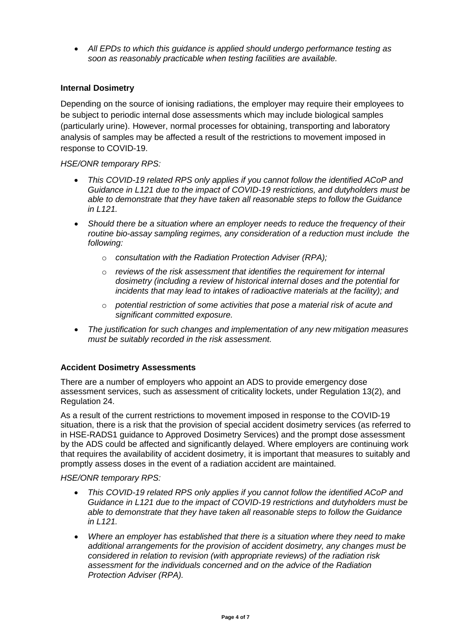*All EPDs to which this guidance is applied should undergo performance testing as soon as reasonably practicable when testing facilities are available.*

### **Internal Dosimetry**

Depending on the source of ionising radiations, the employer may require their employees to be subject to periodic internal dose assessments which may include biological samples (particularly urine). However, normal processes for obtaining, transporting and laboratory analysis of samples may be affected a result of the restrictions to movement imposed in response to COVID-19.

#### *HSE/ONR temporary RPS:*

- *This COVID-19 related RPS only applies if you cannot follow the identified ACoP and Guidance in L121 due to the impact of COVID-19 restrictions, and dutyholders must be able to demonstrate that they have taken all reasonable steps to follow the Guidance in L121.*
- *Should there be a situation where an employer needs to reduce the frequency of their routine bio-assay sampling regimes, any consideration of a reduction must include the following:*
	- o *consultation with the Radiation Protection Adviser (RPA);*
	- o *reviews of the risk assessment that identifies the requirement for internal dosimetry (including a review of historical internal doses and the potential for incidents that may lead to intakes of radioactive materials at the facility); and*
	- o *potential restriction of some activities that pose a material risk of acute and significant committed exposure.*
- *The justification for such changes and implementation of any new mitigation measures must be suitably recorded in the risk assessment.*

#### **Accident Dosimetry Assessments**

There are a number of employers who appoint an ADS to provide emergency dose assessment services, such as assessment of criticality lockets, under Regulation 13(2), and Regulation 24.

As a result of the current restrictions to movement imposed in response to the COVID-19 situation, there is a risk that the provision of special accident dosimetry services (as referred to in HSE-RADS1 guidance to Approved Dosimetry Services) and the prompt dose assessment by the ADS could be affected and significantly delayed. Where employers are continuing work that requires the availability of accident dosimetry, it is important that measures to suitably and promptly assess doses in the event of a radiation accident are maintained.

#### *HSE/ONR temporary RPS:*

- *This COVID-19 related RPS only applies if you cannot follow the identified ACoP and Guidance in L121 due to the impact of COVID-19 restrictions and dutyholders must be able to demonstrate that they have taken all reasonable steps to follow the Guidance in L121.*
- *Where an employer has established that there is a situation where they need to make additional arrangements for the provision of accident dosimetry, any changes must be considered in relation to revision (with appropriate reviews) of the radiation risk assessment for the individuals concerned and on the advice of the Radiation Protection Adviser (RPA).*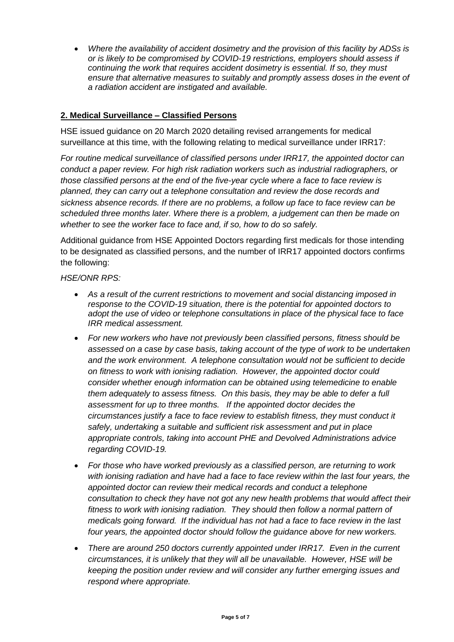*Where the availability of accident dosimetry and the provision of this facility by ADSs is or is likely to be compromised by COVID-19 restrictions, employers should assess if continuing the work that requires accident dosimetry is essential. If so, they must ensure that alternative measures to suitably and promptly assess doses in the event of a radiation accident are instigated and available.*

## **2. Medical Surveillance – Classified Persons**

HSE issued guidance on 20 March 2020 detailing revised arrangements for medical surveillance at this time, with the following relating to medical surveillance under IRR17:

*For routine medical surveillance of classified persons under IRR17, the appointed doctor can conduct a paper review. For high risk radiation workers such as industrial radiographers, or those classified persons at the end of the five-year cycle where a face to face review is planned, they can carry out a telephone consultation and review the dose records and sickness absence records. If there are no problems, a follow up face to face review can be scheduled three months later. Where there is a problem, a judgement can then be made on whether to see the worker face to face and, if so, how to do so safely.*

Additional guidance from HSE Appointed Doctors regarding first medicals for those intending to be designated as classified persons, and the number of IRR17 appointed doctors confirms the following:

#### *HSE/ONR RPS:*

- *As a result of the current restrictions to movement and social distancing imposed in response to the COVID-19 situation, there is the potential for appointed doctors to adopt the use of video or telephone consultations in place of the physical face to face IRR medical assessment.*
- *For new workers who have not previously been classified persons, fitness should be assessed on a case by case basis, taking account of the type of work to be undertaken and the work environment. A telephone consultation would not be sufficient to decide on fitness to work with ionising radiation. However, the appointed doctor could consider whether enough information can be obtained using telemedicine to enable them adequately to assess fitness. On this basis, they may be able to defer a full assessment for up to three months. If the appointed doctor decides the circumstances justify a face to face review to establish fitness, they must conduct it safely, undertaking a suitable and sufficient risk assessment and put in place appropriate controls, taking into account PHE and Devolved Administrations advice regarding COVID-19.*
- *For those who have worked previously as a classified person, are returning to work with ionising radiation and have had a face to face review within the last four years, the appointed doctor can review their medical records and conduct a telephone consultation to check they have not got any new health problems that would affect their fitness to work with ionising radiation. They should then follow a normal pattern of medicals going forward. If the individual has not had a face to face review in the last four years, the appointed doctor should follow the guidance above for new workers.*
- *There are around 250 doctors currently appointed under IRR17. Even in the current circumstances, it is unlikely that they will all be unavailable. However, HSE will be keeping the position under review and will consider any further emerging issues and respond where appropriate.*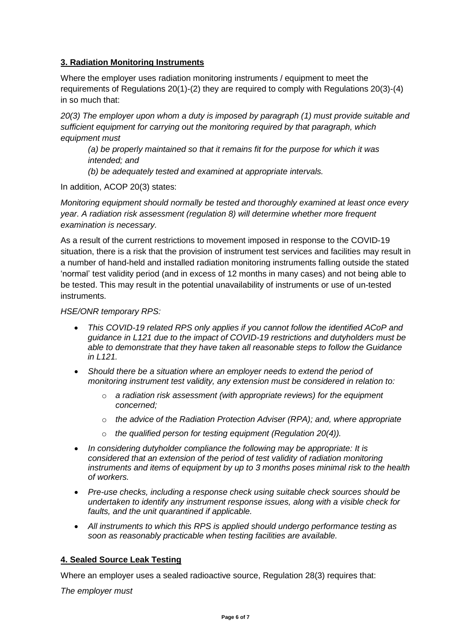# **3. Radiation Monitoring Instruments**

Where the employer uses radiation monitoring instruments / equipment to meet the requirements of Regulations 20(1)-(2) they are required to comply with Regulations 20(3)-(4) in so much that:

*20(3) The employer upon whom a duty is imposed by paragraph (1) must provide suitable and sufficient equipment for carrying out the monitoring required by that paragraph, which equipment must* 

*(a) be properly maintained so that it remains fit for the purpose for which it was intended; and* 

*(b) be adequately tested and examined at appropriate intervals.*

In addition, ACOP 20(3) states:

*Monitoring equipment should normally be tested and thoroughly examined at least once every year. A radiation risk assessment (regulation 8) will determine whether more frequent examination is necessary.*

As a result of the current restrictions to movement imposed in response to the COVID-19 situation, there is a risk that the provision of instrument test services and facilities may result in a number of hand-held and installed radiation monitoring instruments falling outside the stated 'normal' test validity period (and in excess of 12 months in many cases) and not being able to be tested. This may result in the potential unavailability of instruments or use of un-tested instruments.

#### *HSE/ONR temporary RPS:*

- *This COVID-19 related RPS only applies if you cannot follow the identified ACoP and guidance in L121 due to the impact of COVID-19 restrictions and dutyholders must be able to demonstrate that they have taken all reasonable steps to follow the Guidance in L121.*
- *Should there be a situation where an employer needs to extend the period of monitoring instrument test validity, any extension must be considered in relation to:*
	- o *a radiation risk assessment (with appropriate reviews) for the equipment concerned;*
	- o *the advice of the Radiation Protection Adviser (RPA); and, where appropriate*
	- the qualified person for testing equipment (Regulation 20(4)).
- *In considering dutyholder compliance the following may be appropriate: It is considered that an extension of the period of test validity of radiation monitoring instruments and items of equipment by up to 3 months poses minimal risk to the health of workers.*
- *Pre-use checks, including a response check using suitable check sources should be undertaken to identify any instrument response issues, along with a visible check for faults, and the unit quarantined if applicable.*
- *All instruments to which this RPS is applied should undergo performance testing as soon as reasonably practicable when testing facilities are available.*

#### **4. Sealed Source Leak Testing**

Where an employer uses a sealed radioactive source, Regulation 28(3) requires that:

*The employer must*